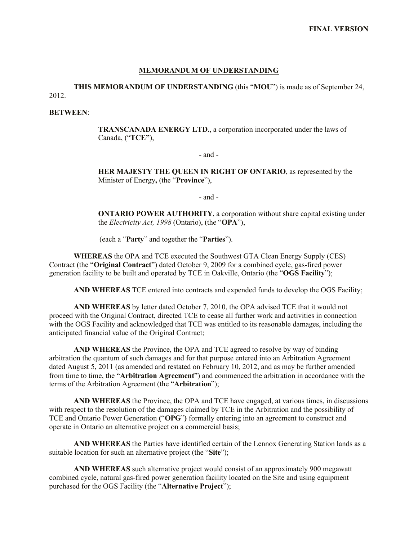#### **MEMORANDUM OF UNDERSTANDING**

**THIS MEMORANDUM OF UNDERSTANDING** (this "**MOU**") is made as of September 24, 2012.

#### **BETWEEN**:

**TRANSCANADA ENERGY LTD.**, a corporation incorporated under the laws of Canada, ("**TCE"**),

#### - and -

**HER MAJESTY THE QUEEN IN RIGHT OF ONTARIO**, as represented by the Minister of Energy**,** (the "**Province**"),

- and -

**ONTARIO POWER AUTHORITY**, a corporation without share capital existing under the *Electricity Act, 1998* (Ontario), (the "**OPA**"),

(each a "**Party**" and together the "**Parties**").

**WHEREAS** the OPA and TCE executed the Southwest GTA Clean Energy Supply (CES) Contract (the "**Original Contract**") dated October 9, 2009 for a combined cycle, gas-fired power generation facility to be built and operated by TCE in Oakville, Ontario (the "**OGS Facility**");

**AND WHEREAS** TCE entered into contracts and expended funds to develop the OGS Facility;

**AND WHEREAS** by letter dated October 7, 2010, the OPA advised TCE that it would not proceed with the Original Contract, directed TCE to cease all further work and activities in connection with the OGS Facility and acknowledged that TCE was entitled to its reasonable damages, including the anticipated financial value of the Original Contract;

**AND WHEREAS** the Province, the OPA and TCE agreed to resolve by way of binding arbitration the quantum of such damages and for that purpose entered into an Arbitration Agreement dated August 5, 2011 (as amended and restated on February 10, 2012, and as may be further amended from time to time, the "**Arbitration Agreement**") and commenced the arbitration in accordance with the terms of the Arbitration Agreement (the "**Arbitration**");

**AND WHEREAS** the Province, the OPA and TCE have engaged, at various times, in discussions with respect to the resolution of the damages claimed by TCE in the Arbitration and the possibility of TCE and Ontario Power Generation **(**"**OPG**"**)** formally entering into an agreement to construct and operate in Ontario an alternative project on a commercial basis;

**AND WHEREAS** the Parties have identified certain of the Lennox Generating Station lands as a suitable location for such an alternative project (the "**Site**");

**AND WHEREAS** such alternative project would consist of an approximately 900 megawatt combined cycle, natural gas-fired power generation facility located on the Site and using equipment purchased for the OGS Facility (the "**Alternative Project**");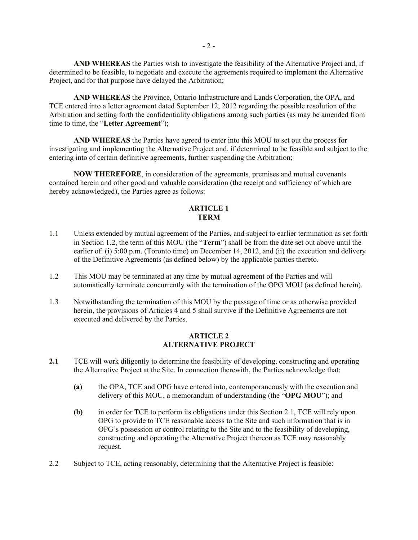**AND WHEREAS** the Parties wish to investigate the feasibility of the Alternative Project and, if determined to be feasible, to negotiate and execute the agreements required to implement the Alternative Project, and for that purpose have delayed the Arbitration;

**AND WHEREAS** the Province, Ontario Infrastructure and Lands Corporation, the OPA, and TCE entered into a letter agreement dated September 12, 2012 regarding the possible resolution of the Arbitration and setting forth the confidentiality obligations among such parties (as may be amended from time to time, the "**Letter Agreement**");

**AND WHEREAS** the Parties have agreed to enter into this MOU to set out the process for investigating and implementing the Alternative Project and, if determined to be feasible and subject to the entering into of certain definitive agreements, further suspending the Arbitration;

**NOW THEREFORE**, in consideration of the agreements, premises and mutual covenants contained herein and other good and valuable consideration (the receipt and sufficiency of which are hereby acknowledged), the Parties agree as follows:

#### **ARTICLE 1 TERM**

- 1.1 Unless extended by mutual agreement of the Parties, and subject to earlier termination as set forth in Section 1.2, the term of this MOU (the "**Term**") shall be from the date set out above until the earlier of: (i) 5:00 p.m. (Toronto time) on December 14, 2012, and (ii) the execution and delivery of the Definitive Agreements (as defined below) by the applicable parties thereto.
- 1.2 This MOU may be terminated at any time by mutual agreement of the Parties and will automatically terminate concurrently with the termination of the OPG MOU (as defined herein).
- 1.3 Notwithstanding the termination of this MOU by the passage of time or as otherwise provided herein, the provisions of Articles 4 and 5 shall survive if the Definitive Agreements are not executed and delivered by the Parties.

## **ARTICLE 2 ALTERNATIVE PROJECT**

- **2.1** TCE will work diligently to determine the feasibility of developing, constructing and operating the Alternative Project at the Site. In connection therewith, the Parties acknowledge that:
	- **(a)** the OPA, TCE and OPG have entered into, contemporaneously with the execution and delivery of this MOU, a memorandum of understanding (the "**OPG MOU**"); and
	- **(b)** in order for TCE to perform its obligations under this Section 2.1, TCE will rely upon OPG to provide to TCE reasonable access to the Site and such information that is in OPG's possession or control relating to the Site and to the feasibility of developing, constructing and operating the Alternative Project thereon as TCE may reasonably request.
- 2.2 Subject to TCE, acting reasonably, determining that the Alternative Project is feasible: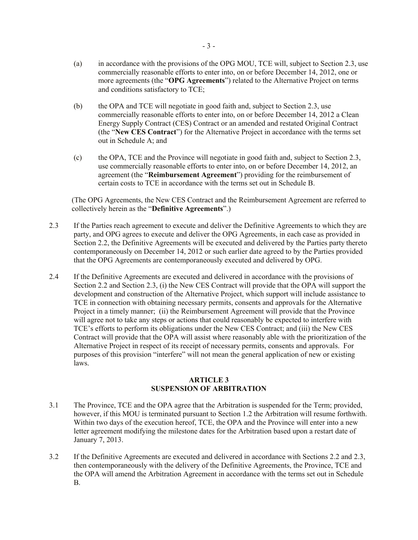- (b) the OPA and TCE will negotiate in good faith and, subject to Section 2.3, use commercially reasonable efforts to enter into, on or before December 14, 2012 a Clean Energy Supply Contract (CES) Contract or an amended and restated Original Contract (the "**New CES Contract**") for the Alternative Project in accordance with the terms set out in Schedule A; and
- (c) the OPA, TCE and the Province will negotiate in good faith and, subject to Section 2.3, use commercially reasonable efforts to enter into, on or before December 14, 2012, an agreement (the "**Reimbursement Agreement**") providing for the reimbursement of certain costs to TCE in accordance with the terms set out in Schedule B.

(The OPG Agreements, the New CES Contract and the Reimbursement Agreement are referred to collectively herein as the "**Definitive Agreements**".)

- 2.3 If the Parties reach agreement to execute and deliver the Definitive Agreements to which they are party, and OPG agrees to execute and deliver the OPG Agreements, in each case as provided in Section 2.2, the Definitive Agreements will be executed and delivered by the Parties party thereto contemporaneously on December 14, 2012 or such earlier date agreed to by the Parties provided that the OPG Agreements are contemporaneously executed and delivered by OPG.
- 2.4 If the Definitive Agreements are executed and delivered in accordance with the provisions of Section 2.2 and Section 2.3, (i) the New CES Contract will provide that the OPA will support the development and construction of the Alternative Project, which support will include assistance to TCE in connection with obtaining necessary permits, consents and approvals for the Alternative Project in a timely manner; (ii) the Reimbursement Agreement will provide that the Province will agree not to take any steps or actions that could reasonably be expected to interfere with TCE's efforts to perform its obligations under the New CES Contract; and (iii) the New CES Contract will provide that the OPA will assist where reasonably able with the prioritization of the Alternative Project in respect of its receipt of necessary permits, consents and approvals. For purposes of this provision "interfere" will not mean the general application of new or existing laws.

### **ARTICLE 3 SUSPENSION OF ARBITRATION**

- 3.1 The Province, TCE and the OPA agree that the Arbitration is suspended for the Term; provided, however, if this MOU is terminated pursuant to Section 1.2 the Arbitration will resume forthwith. Within two days of the execution hereof, TCE, the OPA and the Province will enter into a new letter agreement modifying the milestone dates for the Arbitration based upon a restart date of January 7, 2013.
- 3.2 If the Definitive Agreements are executed and delivered in accordance with Sections 2.2 and 2.3, then contemporaneously with the delivery of the Definitive Agreements, the Province, TCE and the OPA will amend the Arbitration Agreement in accordance with the terms set out in Schedule B.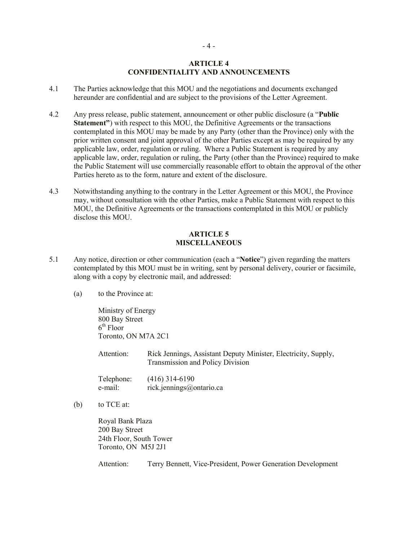#### **ARTICLE 4 CONFIDENTIALITY AND ANNOUNCEMENTS**

- 4.1 The Parties acknowledge that this MOU and the negotiations and documents exchanged hereunder are confidential and are subject to the provisions of the Letter Agreement.
- 4.2 Any press release, public statement, announcement or other public disclosure (a "**Public Statement"**) with respect to this MOU, the Definitive Agreements or the transactions contemplated in this MOU may be made by any Party (other than the Province) only with the prior written consent and joint approval of the other Parties except as may be required by any applicable law, order, regulation or ruling. Where a Public Statement is required by any applicable law, order, regulation or ruling, the Party (other than the Province) required to make the Public Statement will use commercially reasonable effort to obtain the approval of the other Parties hereto as to the form, nature and extent of the disclosure.
- 4.3 Notwithstanding anything to the contrary in the Letter Agreement or this MOU, the Province may, without consultation with the other Parties, make a Public Statement with respect to this MOU, the Definitive Agreements or the transactions contemplated in this MOU or publicly disclose this MOU.

#### **ARTICLE 5 MISCELLANEOUS**

- 5.1 Any notice, direction or other communication (each a "**Notice**") given regarding the matters contemplated by this MOU must be in writing, sent by personal delivery, courier or facsimile, along with a copy by electronic mail, and addressed:
	- (a) to the Province at:

Ministry of Energy 800 Bay Street  $6<sup>th</sup>$  Floor Toronto, ON M7A 2C1

Attention: Rick Jennings, Assistant Deputy Minister, Electricity, Supply, Transmission and Policy Division

Telephone: (416) 314-6190 e-mail: rick.jennings@ontario.ca

(b) to TCE at:

Royal Bank Plaza 200 Bay Street 24th Floor, South Tower Toronto, ON M5J 2J1

Attention: Terry Bennett, Vice-President, Power Generation Development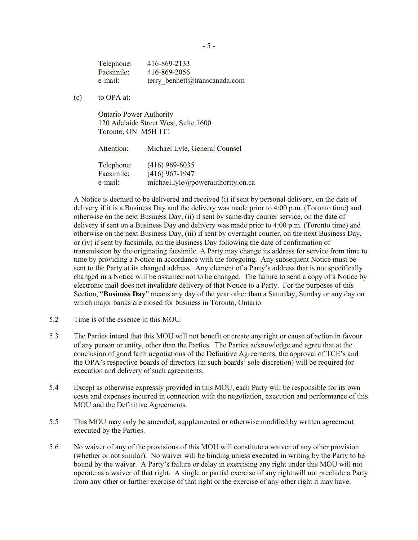Telephone: 416-869-2133 Facsimile: 416-869-2056 e-mail: terry bennett@transcanada.com

(c) to OPA at:

Ontario Power Authority 120 Adelaide Street West, Suite 1600 Toronto, ON M5H 1T1

Attention: Michael Lyle, General Counsel Telephone: (416) 969-6035 Facsimile: (416) 967-1947 e-mail: michael.lyle@powerauthority.on.ca

A Notice is deemed to be delivered and received (i) if sent by personal delivery, on the date of delivery if it is a Business Day and the delivery was made prior to 4:00 p.m. (Toronto time) and otherwise on the next Business Day, (ii) if sent by same-day courier service, on the date of delivery if sent on a Business Day and delivery was made prior to 4:00 p.m. (Toronto time) and otherwise on the next Business Day, (iii) if sent by overnight courier, on the next Business Day, or (iv) if sent by facsimile, on the Business Day following the date of confirmation of transmission by the originating facsimile. A Party may change its address for service from time to time by providing a Notice in accordance with the foregoing. Any subsequent Notice must be sent to the Party at its changed address. Any element of a Party's address that is not specifically changed in a Notice will be assumed not to be changed. The failure to send a copy of a Notice by electronic mail does not invalidate delivery of that Notice to a Party. For the purposes of this Section, "**Business Day**" means any day of the year other than a Saturday, Sunday or any day on which major banks are closed for business in Toronto, Ontario.

- 5.2 Time is of the essence in this MOU.
- 5.3 The Parties intend that this MOU will not benefit or create any right or cause of action in favour of any person or entity, other than the Parties. The Parties acknowledge and agree that at the conclusion of good faith negotiations of the Definitive Agreements, the approval of TCE's and the OPA's respective boards of directors (in such boards' sole discretion) will be required for execution and delivery of such agreements.
- 5.4 Except as otherwise expressly provided in this MOU, each Party will be responsible for its own costs and expenses incurred in connection with the negotiation, execution and performance of this MOU and the Definitive Agreements.
- 5.5 This MOU may only be amended, supplemented or otherwise modified by written agreement executed by the Parties.
- 5.6 No waiver of any of the provisions of this MOU will constitute a waiver of any other provision (whether or not similar). No waiver will be binding unless executed in writing by the Party to be bound by the waiver. A Party's failure or delay in exercising any right under this MOU will not operate as a waiver of that right. A single or partial exercise of any right will not preclude a Party from any other or further exercise of that right or the exercise of any other right it may have.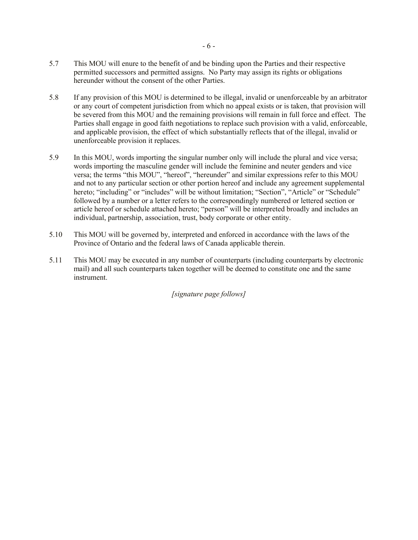- 5.7 This MOU will enure to the benefit of and be binding upon the Parties and their respective permitted successors and permitted assigns. No Party may assign its rights or obligations hereunder without the consent of the other Parties.
- 5.8 If any provision of this MOU is determined to be illegal, invalid or unenforceable by an arbitrator or any court of competent jurisdiction from which no appeal exists or is taken, that provision will be severed from this MOU and the remaining provisions will remain in full force and effect. The Parties shall engage in good faith negotiations to replace such provision with a valid, enforceable, and applicable provision, the effect of which substantially reflects that of the illegal, invalid or unenforceable provision it replaces.
- 5.9 In this MOU, words importing the singular number only will include the plural and vice versa; words importing the masculine gender will include the feminine and neuter genders and vice versa; the terms "this MOU", "hereof", "hereunder" and similar expressions refer to this MOU and not to any particular section or other portion hereof and include any agreement supplemental hereto; "including" or "includes" will be without limitation; "Section", "Article" or "Schedule" followed by a number or a letter refers to the correspondingly numbered or lettered section or article hereof or schedule attached hereto; "person" will be interpreted broadly and includes an individual, partnership, association, trust, body corporate or other entity.
- 5.10 This MOU will be governed by, interpreted and enforced in accordance with the laws of the Province of Ontario and the federal laws of Canada applicable therein.
- 5.11 This MOU may be executed in any number of counterparts (including counterparts by electronic mail) and all such counterparts taken together will be deemed to constitute one and the same instrument.

*[signature page follows]*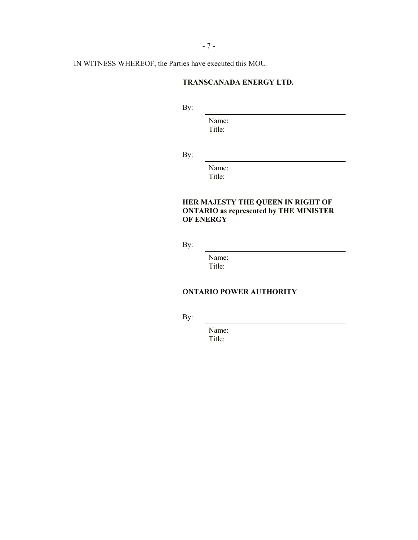- 7 -

IN WITNESS WHEREOF, the Parties have executed this MOU.

## **TRANSCANADA ENERGY LTD.**

By:

Name: Title:

By:

Name: Title:

# **HER MAJESTY THE QUEEN IN RIGHT OF ONTARIO as represented by THE MINISTER OF ENERGY**

By:

Name: Title:

## **ONTARIO POWER AUTHORITY**

By:

Name: Title: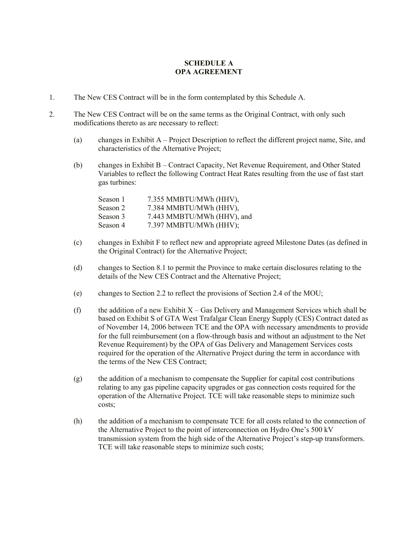## **SCHEDULE A OPA AGREEMENT**

- 1. The New CES Contract will be in the form contemplated by this Schedule A.
- 2. The New CES Contract will be on the same terms as the Original Contract, with only such modifications thereto as are necessary to reflect:
	- (a) changes in Exhibit A Project Description to reflect the different project name, Site, and characteristics of the Alternative Project;
	- (b) changes in Exhibit B Contract Capacity, Net Revenue Requirement, and Other Stated Variables to reflect the following Contract Heat Rates resulting from the use of fast start gas turbines:

| Season 1 | 7.355 MMBTU/MWh (HHV),     |
|----------|----------------------------|
| Season 2 | 7.384 MMBTU/MWh (HHV),     |
| Season 3 | 7.443 MMBTU/MWh (HHV), and |
| Season 4 | 7.397 MMBTU/MWh (HHV);     |

- (c) changes in Exhibit F to reflect new and appropriate agreed Milestone Dates (as defined in the Original Contract) for the Alternative Project;
- (d) changes to Section 8.1 to permit the Province to make certain disclosures relating to the details of the New CES Contract and the Alternative Project;
- (e) changes to Section 2.2 to reflect the provisions of Section 2.4 of the MOU;
- (f) the addition of a new Exhibit  $X Gas$  Delivery and Management Services which shall be based on Exhibit S of GTA West Trafalgar Clean Energy Supply (CES) Contract dated as of November 14, 2006 between TCE and the OPA with necessary amendments to provide for the full reimbursement (on a flow-through basis and without an adjustment to the Net Revenue Requirement) by the OPA of Gas Delivery and Management Services costs required for the operation of the Alternative Project during the term in accordance with the terms of the New CES Contract;
- (g) the addition of a mechanism to compensate the Supplier for capital cost contributions relating to any gas pipeline capacity upgrades or gas connection costs required for the operation of the Alternative Project. TCE will take reasonable steps to minimize such costs;
- (h) the addition of a mechanism to compensate TCE for all costs related to the connection of the Alternative Project to the point of interconnection on Hydro One's 500 kV transmission system from the high side of the Alternative Project's step-up transformers. TCE will take reasonable steps to minimize such costs;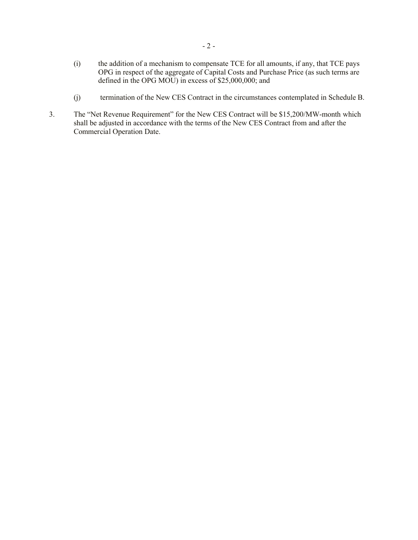- (i) the addition of a mechanism to compensate TCE for all amounts, if any, that TCE pays OPG in respect of the aggregate of Capital Costs and Purchase Price (as such terms are defined in the OPG MOU) in excess of \$25,000,000; and
- (j) termination of the New CES Contract in the circumstances contemplated in Schedule B.
- 3. The "Net Revenue Requirement" for the New CES Contract will be \$15,200/MW-month which shall be adjusted in accordance with the terms of the New CES Contract from and after the Commercial Operation Date.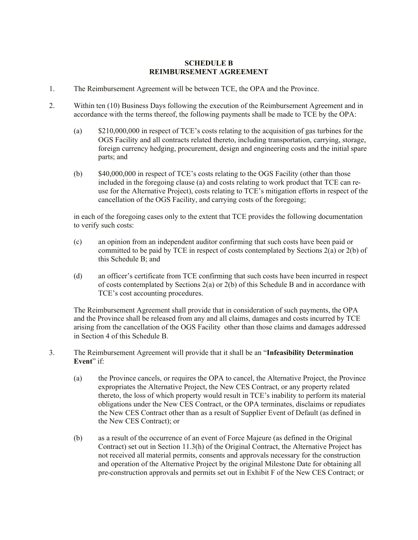### **SCHEDULE B REIMBURSEMENT AGREEMENT**

- 1. The Reimbursement Agreement will be between TCE, the OPA and the Province.
- 2. Within ten (10) Business Days following the execution of the Reimbursement Agreement and in accordance with the terms thereof, the following payments shall be made to TCE by the OPA:
	- (a) \$210,000,000 in respect of TCE's costs relating to the acquisition of gas turbines for the OGS Facility and all contracts related thereto, including transportation, carrying, storage, foreign currency hedging, procurement, design and engineering costs and the initial spare parts; and
	- (b) \$40,000,000 in respect of TCE's costs relating to the OGS Facility (other than those included in the foregoing clause (a) and costs relating to work product that TCE can reuse for the Alternative Project), costs relating to TCE's mitigation efforts in respect of the cancellation of the OGS Facility, and carrying costs of the foregoing;

in each of the foregoing cases only to the extent that TCE provides the following documentation to verify such costs:

- (c) an opinion from an independent auditor confirming that such costs have been paid or committed to be paid by TCE in respect of costs contemplated by Sections 2(a) or 2(b) of this Schedule B; and
- (d) an officer's certificate from TCE confirming that such costs have been incurred in respect of costs contemplated by Sections  $2(a)$  or  $2(b)$  of this Schedule B and in accordance with TCE's cost accounting procedures.

The Reimbursement Agreement shall provide that in consideration of such payments, the OPA and the Province shall be released from any and all claims, damages and costs incurred by TCE arising from the cancellation of the OGS Facility other than those claims and damages addressed in Section 4 of this Schedule B.

- 3. The Reimbursement Agreement will provide that it shall be an "**Infeasibility Determination Event**" if:
	- (a) the Province cancels, or requires the OPA to cancel, the Alternative Project, the Province expropriates the Alternative Project, the New CES Contract, or any property related thereto, the loss of which property would result in TCE's inability to perform its material obligations under the New CES Contract, or the OPA terminates, disclaims or repudiates the New CES Contract other than as a result of Supplier Event of Default (as defined in the New CES Contract); or
	- (b) as a result of the occurrence of an event of Force Majeure (as defined in the Original Contract) set out in Section 11.3(h) of the Original Contract, the Alternative Project has not received all material permits, consents and approvals necessary for the construction and operation of the Alternative Project by the original Milestone Date for obtaining all pre-construction approvals and permits set out in Exhibit F of the New CES Contract; or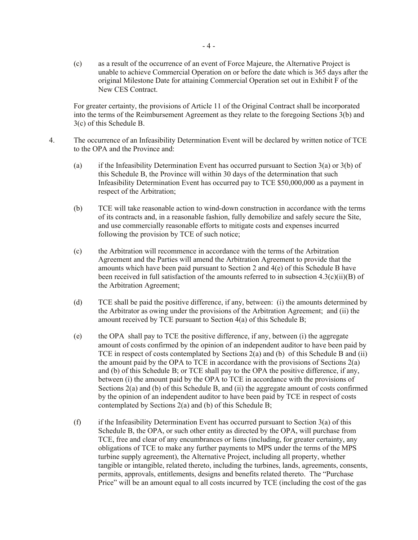(c) as a result of the occurrence of an event of Force Majeure, the Alternative Project is unable to achieve Commercial Operation on or before the date which is 365 days after the original Milestone Date for attaining Commercial Operation set out in Exhibit F of the New CES Contract.

For greater certainty, the provisions of Article 11 of the Original Contract shall be incorporated into the terms of the Reimbursement Agreement as they relate to the foregoing Sections 3(b) and 3(c) of this Schedule B.

- 4. The occurrence of an Infeasibility Determination Event will be declared by written notice of TCE to the OPA and the Province and:
	- (a) if the Infeasibility Determination Event has occurred pursuant to Section  $3(a)$  or  $3(b)$  of this Schedule B, the Province will within 30 days of the determination that such Infeasibility Determination Event has occurred pay to TCE \$50,000,000 as a payment in respect of the Arbitration;
	- (b) TCE will take reasonable action to wind-down construction in accordance with the terms of its contracts and, in a reasonable fashion, fully demobilize and safely secure the Site, and use commercially reasonable efforts to mitigate costs and expenses incurred following the provision by TCE of such notice;
	- (c) the Arbitration will recommence in accordance with the terms of the Arbitration Agreement and the Parties will amend the Arbitration Agreement to provide that the amounts which have been paid pursuant to Section 2 and 4(e) of this Schedule B have been received in full satisfaction of the amounts referred to in subsection  $4.3(c)(ii)(B)$  of the Arbitration Agreement;
	- (d) TCE shall be paid the positive difference, if any, between: (i) the amounts determined by the Arbitrator as owing under the provisions of the Arbitration Agreement; and (ii) the amount received by TCE pursuant to Section 4(a) of this Schedule B;
	- (e) the OPA shall pay to TCE the positive difference, if any, between (i) the aggregate amount of costs confirmed by the opinion of an independent auditor to have been paid by TCE in respect of costs contemplated by Sections 2(a) and (b) of this Schedule B and (ii) the amount paid by the OPA to TCE in accordance with the provisions of Sections 2(a) and (b) of this Schedule B; or TCE shall pay to the OPA the positive difference, if any, between (i) the amount paid by the OPA to TCE in accordance with the provisions of Sections 2(a) and (b) of this Schedule B, and (ii) the aggregate amount of costs confirmed by the opinion of an independent auditor to have been paid by TCE in respect of costs contemplated by Sections 2(a) and (b) of this Schedule B;
	- (f) if the Infeasibility Determination Event has occurred pursuant to Section  $3(a)$  of this Schedule B, the OPA, or such other entity as directed by the OPA, will purchase from TCE, free and clear of any encumbrances or liens (including, for greater certainty, any obligations of TCE to make any further payments to MPS under the terms of the MPS turbine supply agreement), the Alternative Project, including all property, whether tangible or intangible, related thereto, including the turbines, lands, agreements, consents, permits, approvals, entitlements, designs and benefits related thereto. The "Purchase Price" will be an amount equal to all costs incurred by TCE (including the cost of the gas